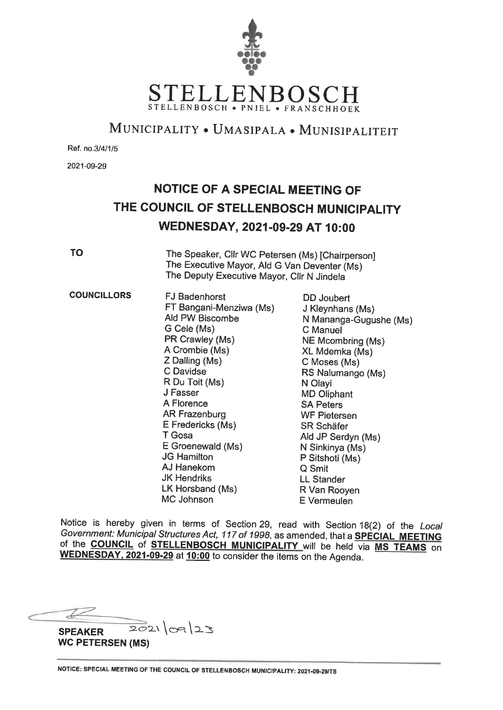

## MUNICIPALITY . UMASIPALA . MUNISIPALITEIT

Ref. no.3/4/1/5

2021-09-29

# NOTICE OF A SPECIAL MEETING OF THE COUNCIL OF STELLENBOSCH MUNICIPALITY WEDNESDAY, 2021-09-29 AT 10:00

**TO** 

The Speaker, Cllr WC Petersen (Ms) [Chairperson] The Executive Mayor, Ald G Van Deventer (Ms) The Deputy Executive Mayor, Cllr N Jindela

**COUNCILLORS FJ Badenhorst** DD Joubert FT Bangani-Menziwa (Ms) J Kleynhans (Ms) Ald PW Biscombe N Mananga-Gugushe (Ms) G Cele (Ms) C Manuel PR Crawley (Ms) NE Mcombring (Ms) A Crombie (Ms) XL Mdemka (Ms) Z Dalling (Ms) C Moses (Ms) C Davidse RS Nalumango (Ms) R Du Toit (Ms) N Olavi J Fasser **MD Oliphant** A Florence **SA Peters AR Frazenburg WF Pietersen** E Fredericks (Ms) **SR Schäfer** T Gosa Ald JP Serdyn (Ms) E Groenewald (Ms) N Sinkinya (Ms) **JG Hamilton** P Sitshoti (Ms) AJ Hanekom Q Smit **JK Hendriks LL Stander** LK Horsband (Ms) R Van Rooven MC Johnson E Vermeulen

Notice is hereby given in terms of Section 29, read with Section 18(2) of the Local Government: Municipal Structures Act, 117 of 1998, as amended, that a **SPECIAL MEETING** of the **COUNCIL** of **STELLENBOSCH MUNICIPALITY** will be held via MS TEAMS on WEDNESDAY, 2021-09-29 at 10:00 to consider the items on the Agenda.

 $2021|09|23$ **SPEAKER WC PETERSEN (MS)**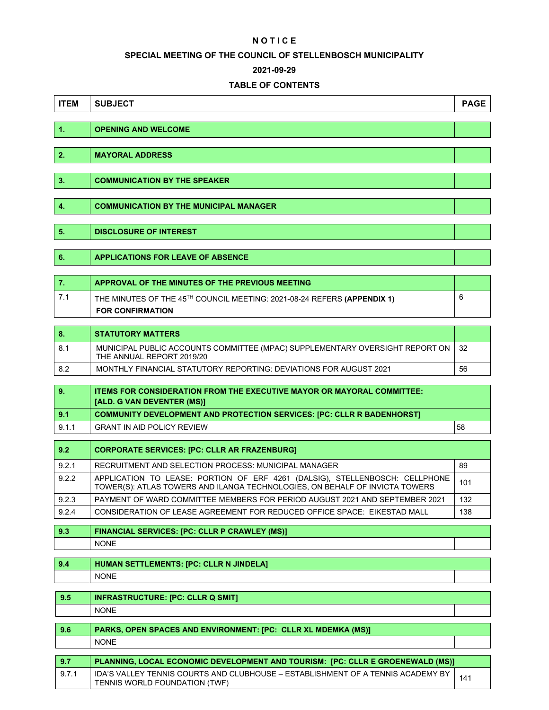#### **N O T I C E**

#### **SPECIAL MEETING OF THE COUNCIL OF STELLENBOSCH MUNICIPALITY**

#### **2021-09-29**

### **TABLE OF CONTENTS**

| <b>ITEM</b>    | <b>SUBJECT</b>                                                                                                                                             | <b>PAGE</b> |
|----------------|------------------------------------------------------------------------------------------------------------------------------------------------------------|-------------|
|                |                                                                                                                                                            |             |
| $\mathbf{1}$ . | <b>OPENING AND WELCOME</b>                                                                                                                                 |             |
| 2.             | <b>MAYORAL ADDRESS</b>                                                                                                                                     |             |
|                |                                                                                                                                                            |             |
| 3.             | <b>COMMUNICATION BY THE SPEAKER</b>                                                                                                                        |             |
|                |                                                                                                                                                            |             |
| 4.             | <b>COMMUNICATION BY THE MUNICIPAL MANAGER</b>                                                                                                              |             |
| 5.             | <b>DISCLOSURE OF INTEREST</b>                                                                                                                              |             |
|                |                                                                                                                                                            |             |
| 6.             | <b>APPLICATIONS FOR LEAVE OF ABSENCE</b>                                                                                                                   |             |
|                |                                                                                                                                                            |             |
| 7.             | APPROVAL OF THE MINUTES OF THE PREVIOUS MEETING                                                                                                            |             |
| 7.1            | THE MINUTES OF THE 45TH COUNCIL MEETING: 2021-08-24 REFERS (APPENDIX 1)                                                                                    | 6           |
|                | <b>FOR CONFIRMATION</b>                                                                                                                                    |             |
| 8.             | <b>STATUTORY MATTERS</b>                                                                                                                                   |             |
| 8.1            | MUNICIPAL PUBLIC ACCOUNTS COMMITTEE (MPAC) SUPPLEMENTARY OVERSIGHT REPORT ON                                                                               | 32          |
| 8.2            | THE ANNUAL REPORT 2019/20<br>MONTHLY FINANCIAL STATUTORY REPORTING: DEVIATIONS FOR AUGUST 2021                                                             | 56          |
|                |                                                                                                                                                            |             |
| 9.             | <b>ITEMS FOR CONSIDERATION FROM THE EXECUTIVE MAYOR OR MAYORAL COMMITTEE:</b><br>[ALD. G VAN DEVENTER (MS)]                                                |             |
| 9.1            | <b>COMMUNITY DEVELOPMENT AND PROTECTION SERVICES: [PC: CLLR R BADENHORST]</b>                                                                              |             |
| 9.1.1          | <b>GRANT IN AID POLICY REVIEW</b>                                                                                                                          | 58          |
| 9.2            | <b>CORPORATE SERVICES: [PC: CLLR AR FRAZENBURG]</b>                                                                                                        |             |
| 9.2.1          | RECRUITMENT AND SELECTION PROCESS: MUNICIPAL MANAGER                                                                                                       | 89          |
| 9.2.2          | APPLICATION TO LEASE: PORTION OF ERF 4261 (DALSIG), STELLENBOSCH: CELLPHONE<br>TOWER(S): ATLAS TOWERS AND ILANGA TECHNOLOGIES, ON BEHALF OF INVICTA TOWERS | 101         |
| 9.2.3          | PAYMENT OF WARD COMMITTEE MEMBERS FOR PERIOD AUGUST 2021 AND SEPTEMBER 2021                                                                                | 132         |
| 9.2.4          | CONSIDERATION OF LEASE AGREEMENT FOR REDUCED OFFICE SPACE: EIKESTAD MALL                                                                                   | 138         |
| 9.3            | <b>FINANCIAL SERVICES: [PC: CLLR P CRAWLEY (MS)]</b>                                                                                                       |             |
|                | <b>NONE</b>                                                                                                                                                |             |
| 9.4            | <b>HUMAN SETTLEMENTS: [PC: CLLR N JINDELA]</b>                                                                                                             |             |
|                | <b>NONE</b>                                                                                                                                                |             |
|                |                                                                                                                                                            |             |
| 9.5            | <b>INFRASTRUCTURE: [PC: CLLR Q SMIT]</b>                                                                                                                   |             |
|                | <b>NONE</b>                                                                                                                                                |             |
| 9.6            | PARKS, OPEN SPACES AND ENVIRONMENT: [PC: CLLR XL MDEMKA (MS)]                                                                                              |             |
|                | <b>NONE</b>                                                                                                                                                |             |
| 9.7            | PLANNING, LOCAL ECONOMIC DEVELOPMENT AND TOURISM: [PC: CLLR E GROENEWALD (MS)]                                                                             |             |
| 9.7.1          | IDA'S VALLEY TENNIS COURTS AND CLUBHOUSE - ESTABLISHMENT OF A TENNIS ACADEMY BY<br>TENNIS WORLD FOUNDATION (TWF)                                           | 141         |